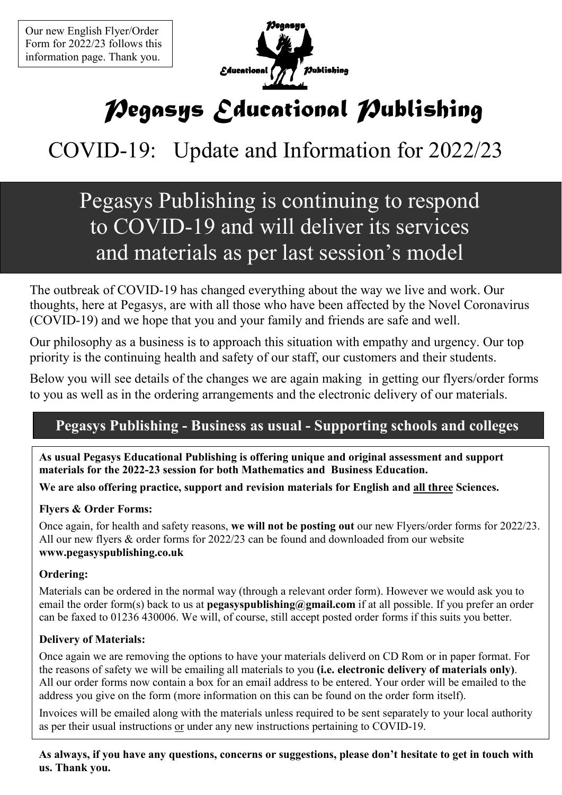

# *Pegasys Educational Publishing*

# COVID-19: Update and Information for 2022/23

# Pegasys Publishing is continuing to respond to COVID-19 and will deliver its services and materials as per last session's model

The outbreak of COVID-19 has changed everything about the way we live and work. Our thoughts, here at Pegasys, are with all those who have been affected by the Novel Coronavirus (COVID-19) and we hope that you and your family and friends are safe and well.

Our philosophy as a business is to approach this situation with empathy and urgency. Our top priority is the continuing health and safety of our staff, our customers and their students.

Below you will see details of the changes we are again making in getting our flyers/order forms to you as well as in the ordering arrangements and the electronic delivery of our materials.

#### **Pegasys Publishing - Business as usual - Supporting schools and colleges**

**As usual Pegasys Educational Publishing is offering unique and original assessment and support materials for the 2022-23 session for both Mathematics and Business Education.** 

**We are also offering practice, support and revision materials for English and all three Sciences.** 

#### **Flyers & Order Forms:**

Once again, for health and safety reasons, **we will not be posting out** our new Flyers/order forms for 2022/23. All our new flyers & order forms for 2022/23 can be found and downloaded from our website **www.pegasyspublishing.co.uk** 

#### **Ordering:**

Materials can be ordered in the normal way (through a relevant order form). However we would ask you to email the order form(s) back to us at **pegasyspublishing@gmail.com** if at all possible. If you prefer an order can be faxed to 01236 430006. We will, of course, still accept posted order forms if this suits you better.

#### **Delivery of Materials:**

Once again we are removing the options to have your materials deliverd on CD Rom or in paper format. For the reasons of safety we will be emailing all materials to you **(i.e. electronic delivery of materials only)**. All our order forms now contain a box for an email address to be entered. Your order will be emailed to the address you give on the form (more information on this can be found on the order form itself).

Invoices will be emailed along with the materials unless required to be sent separately to your local authority as per their usual instructions or under any new instructions pertaining to COVID-19.

**As always, if you have any questions, concerns or suggestions, please don't hesitate to get in touch with us. Thank you.**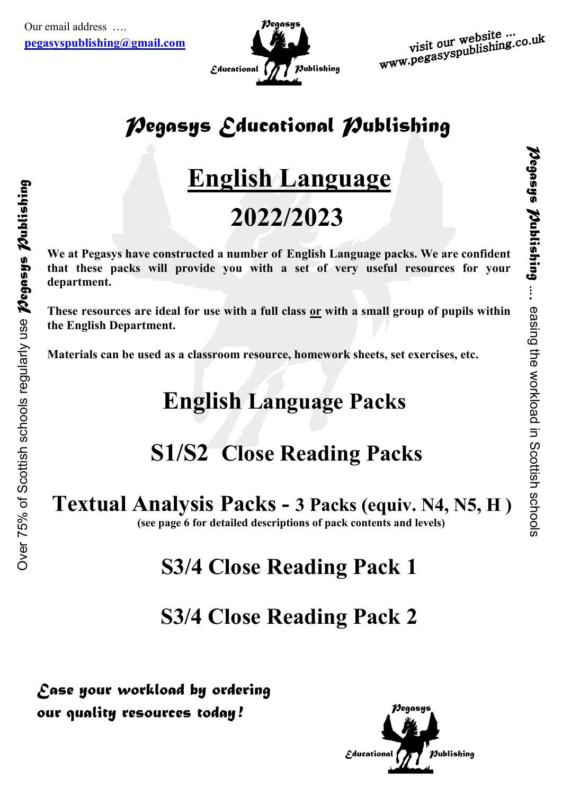

# *Pegasys Educational Publishing*

# **English Language**

# **2022/2023**

**We at Pegasys have constructed a number of English Language packs. We are confident that these packs will provide you with a set of very useful resources for your department.** 

**These resources are ideal for use with a full class or with a small group of pupils within the English Department.** 

**Materials can be used as a classroom resource, homework sheets, set exercises, etc.** 

# **English Language Packs**

# **S1/S2 Close Reading Packs**

## **Textual Analysis Packs - 3 Packs (equiv. 64, 65, H )**

**(see page 6 for detailed descriptions of pack contents and levels)** 

# **S3/4 Close Reading Pack 1**

## **S3/4 Close Reading Pack 2**

*Ease your workload by ordering our quality resources today !*

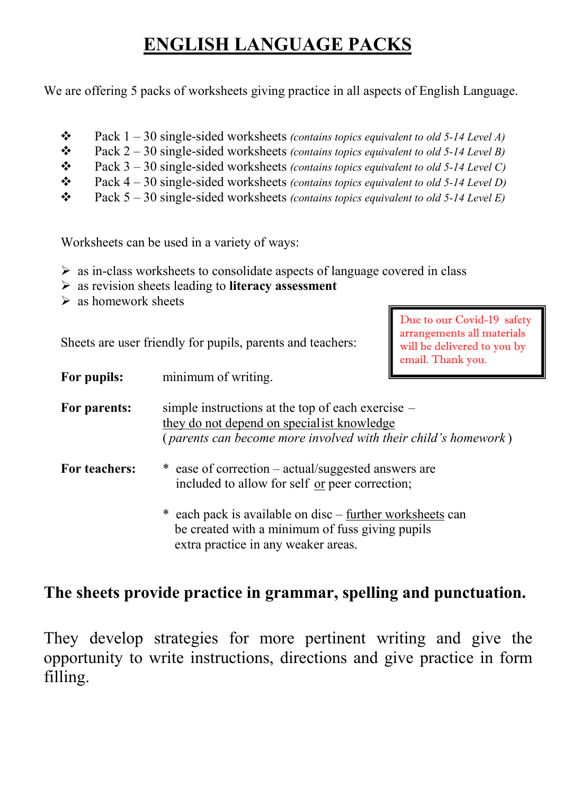## **ENGLISH LANGUAGE PACKS**

We are offering 5 packs of worksheets giving practice in all aspects of English Language.

- Pack 1 30 single-sided worksheets *(contains topics equivalent to old 5-14 Level A)*
- Pack 2 30 single-sided worksheets *(contains topics equivalent to old 5-14 Level B)*
- Pack 3 30 single-sided worksheets *(contains topics equivalent to old 5-14 Level C)*
- Pack 4 30 single-sided worksheets *(contains topics equivalent to old 5-14 Level D)*
- Pack 5 30 single-sided worksheets *(contains topics equivalent to old 5-14 Level E)*

Worksheets can be used in a variety of ways:

- > as in-class worksheets to consolidate aspects of language covered in class
- as revision sheets leading to **literacy assessment**
- $\triangleright$  as homework sheets

Sheets are user friendly for pupils, parents and teachers:

Due to our Covid-19 safety arrangements all materials will be delivered to you by email. Thank you.

**For pupils:** minimum of writing.

For parents: simple instructions at the top of each exercise – they do not depend on specialist knowledge ( *parents can become more involved with their child's homework* )

- For teachers:  $*$  ease of correction actual/suggested answers are included to allow for self or peer correction;
	- each pack is available on disc further worksheets can be created with a minimum of fuss giving pupils extra practice in any weaker areas.

#### **The sheets provide practice in grammar, spelling and punctuation.**

They develop strategies for more pertinent writing and give the opportunity to write instructions, directions and give practice in form filling.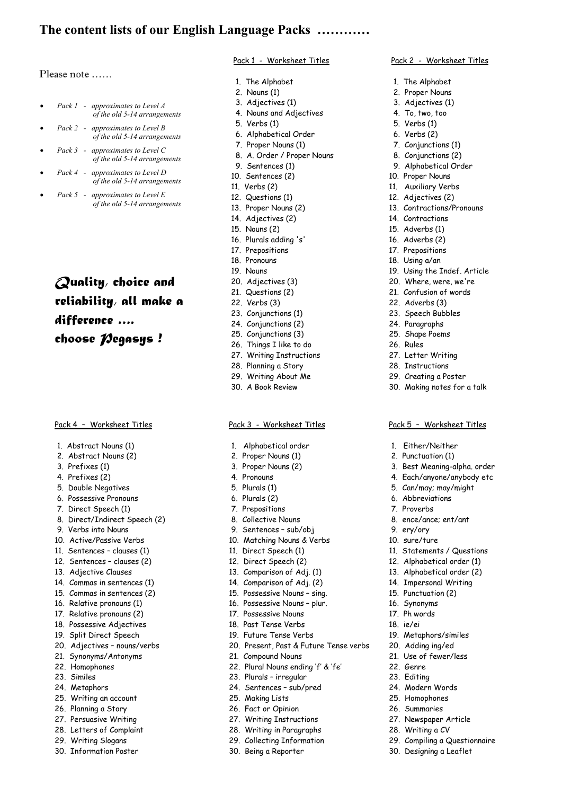#### **The content lists of our English Language Packs …………**

Please note ……

- *Pack 1 approximates to Level A of the old 5-14 arrangements*
- *Pack 2 approximates to Level B of the old 5-14 arrangements*
- *Pack 3 approximates to Level C of the old 5-14 arrangements*
- *Pack 4 approximates to Level D of the old 5-14 arrangements*
- *Pack 5 approximates to Level E of the old 5-14 arrangements*

*Quality, choice and reliability, all make a difference …. choose Pegasys !*

#### Pack 4 – Worksheet Titles

- 1. Abstract Nouns (1)
- 2. Abstract Nouns (2)
- 3. Prefixes (1)
- 4. Prefixes (2)
- 5. Double Negatives
- 6. Possessive Pronouns
- 7. Direct Speech (1)
- 8. Direct/Indirect Speech (2)
- 9. Verbs into Nouns
- 10. Active/Passive Verbs
- 11. Sentences clauses (1)
- 12. Sentences clauses (2)
- 13. Adjective Clauses
- 14. Commas in sentences (1)
- 15. Commas in sentences (2)
- 16. Relative pronouns (1)
- 17. Relative pronouns (2)
- 18. Possessive Adjectives
- 19. Split Direct Speech
- 20. Adjectives nouns/verbs
- 21. Synonyms/Antonyms
- 22. Homophones
- 23. Similes
- 24. Metaphors
- 25. Writing an account
- 26. Planning a Story
- 27. Persuasive Writing
- 28. Letters of Complaint
- 29. Writing Slogans
- 30. Information Poster

#### Pack 1 - Worksheet Titles

Pack 2 - Worksheet Titles

 1. The Alphabet 2. Proper Nouns 3. Adjectives (1) 4. To, two, too 5. Verbs (1) 6. Verbs (2) 7. Conjunctions (1) 8. Conjunctions (2) 9. Alphabetical Order 10. Proper Nouns 11. Auxiliary Verbs 12. Adjectives (2) 13. Contractions/Pronouns

14. Contractions 15. Adverbs (1) 16. Adverbs (2) 17. Prepositions 18. Using a/an

27. Letter Writing 28. Instructions 29. Creating a Poster 30. Making notes for a talk

Pack 5 – Worksheet Titles

 3. Best Meaning-alpha. order 4. Each/anyone/anybody etc 5. Can/may; may/might 6. Abbreviations 7. Proverbs

 1. Either/Neither 2. Punctuation (1)

8. ence/ance; ent/ant

19. Metaphors/similes 20. Adding ing/ed 21. Use of fewer/less

29. Compiling a Questionnaire 30. Designing a Leaflet

22. Genre 23. Editing 24. Modern Words 25. Homophones 26. Summaries 27. Newspaper Article 28. Writing a CV

11. Statements / Questions 12. Alphabetical order (1) 13. Alphabetical order (2) 14. Impersonal Writing 15. Punctuation (2) 16. Synonyms 17. Ph words 18. ie/ei

 9. ery/ory 10. sure/ture

19. Using the Indef. Article 20. Where, were, we're 21. Confusion of words 22. Adverbs (3) 23. Speech Bubbles 24. Paragraphs 25. Shape Poems 26. Rules

- 1. The Alphabet
- 2. Nouns (1)
- 3. Adjectives (1)
- 4. Nouns and Adjectives
- 5. Verbs (1)
- 6. Alphabetical Order
- 7. Proper Nouns (1)
- 8. A. Order / Proper Nouns
- 9. Sentences (1)
- 10. Sentences (2)
- 11. Verbs (2)
- 12. Questions (1)
- 13. Proper Nouns (2)
- 14. Adjectives (2)
- 15. Nouns (2)
- 16. Plurals adding 's'
- 17. Prepositions
- 18. Pronouns
- 19. Nouns
- 20. Adjectives (3)
- 21. Questions (2)
- 22. Verbs (3)
- 23. Conjunctions (1)
- 24. Conjunctions (2)
- 25. Conjunctions (3)
- 26. Things I like to do
- 27. Writing Instructions
- 28. Planning a Story
- 29. Writing About Me
- 30. A Book Review

#### Pack 3 - Worksheet Titles

- 1. Alphabetical order
- 2. Proper Nouns (1)
- 3. Proper Nouns (2)
- 4. Pronouns
- 5. Plurals (1)
- 6. Plurals (2)
- 7. Prepositions
- 8. Collective Nouns
- 9. Sentences sub/obj
- 10. Matching Nouns & Verbs
- 11. Direct Speech (1)
- 12. Direct Speech (2)
- 13. Comparison of Adj. (1)
- 14. Comparison of Adj. (2)
- 15. Possessive Nouns sing.
- 16. Possessive Nouns plur.
- 17. Possessive Nouns
- 18. Past Tense Verbs
- 19. Future Tense Verbs
- 20. Present, Past & Future Tense verbs
- 21. Compound Nouns
- 22. Plural Nouns ending 'f' & 'fe'
- 23. Plurals irregular
- 24. Sentences sub/pred
- 25. Making Lists
- 26. Fact or Opinion
- 27. Writing Instructions
- 28. Writing in Paragraphs
- 29. Collecting Information 30. Being a Reporter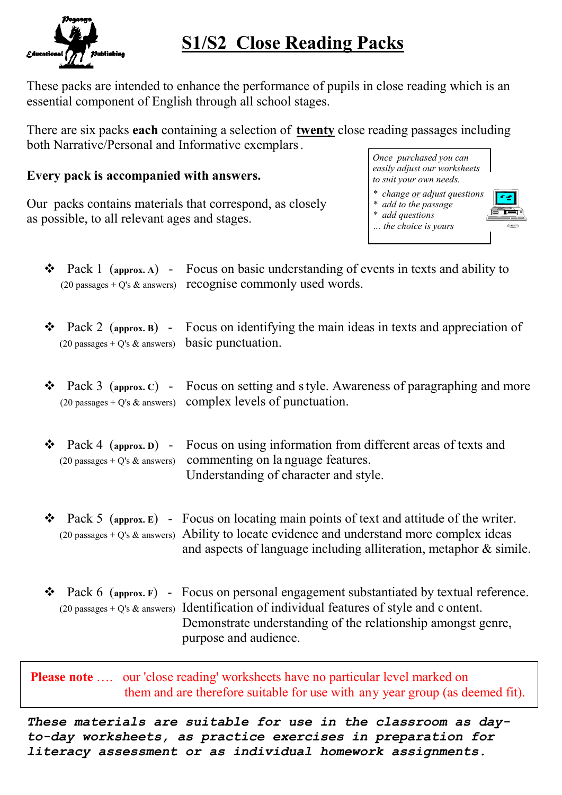

### **S1/S2 Close Reading Packs**

These packs are intended to enhance the performance of pupils in close reading which is an essential component of English through all school stages.

There are six packs **each** containing a selection of **twenty** close reading passages including both Narrative/Personal and Informative exemplars.

#### **Every pack is accompanied with answers.**

Our packs contains materials that correspond, as closely as possible, to all relevant ages and stages.



*\* change or adjust questions \* add to the passage \* add questions*

*… the choice is yours* 



| ❖ |                                                                     | Pack 1 (approx. A) - Focus on basic understanding of events in texts and ability to<br>$(20 \text{ passages} + Q's \& \text{answers})$ recognise commonly used words.                                                                                                           |
|---|---------------------------------------------------------------------|---------------------------------------------------------------------------------------------------------------------------------------------------------------------------------------------------------------------------------------------------------------------------------|
| ❖ | $(20 \text{ passages} + Q's \& \text{ answers})$ basic punctuation. | Pack 2 (approx. B) - Focus on identifying the main ideas in texts and appreciation of                                                                                                                                                                                           |
| ❖ |                                                                     | Pack 3 (approx. C) - Focus on setting and s tyle. Awareness of paragraphing and more<br>$(20 \text{ passages} + Q's \& \text{answers})$ complex levels of punctuation.                                                                                                          |
| ❖ |                                                                     | Pack 4 (approx. D) - Focus on using information from different areas of texts and<br>(20 passages + $Q$ 's & answers) commenting on language features.<br>Understanding of character and style.                                                                                 |
| ❖ |                                                                     | Pack 5 (approx. E) - Focus on locating main points of text and attitude of the writer.<br>(20 passages + $Q$ 's & answers) Ability to locate evidence and understand more complex ideas<br>and aspects of language including alliteration, metaphor & simile.                   |
| ❖ |                                                                     | Pack 6 (approx. F) - Focus on personal engagement substantiated by textual reference.<br>(20 passages + $Q$ 's & answers) Identification of individual features of style and c ontent.<br>Demonstrate understanding of the relationship amongst genre,<br>purpose and audience. |

**Please note** .... our 'close reading' worksheets have no particular level marked on them and are therefore suitable for use with any year group (as deemed fit).

*These materials are suitable for use in the classroom as dayto-day worksheets, as practice exercises in preparation for literacy assessment or as individual homework assignments.*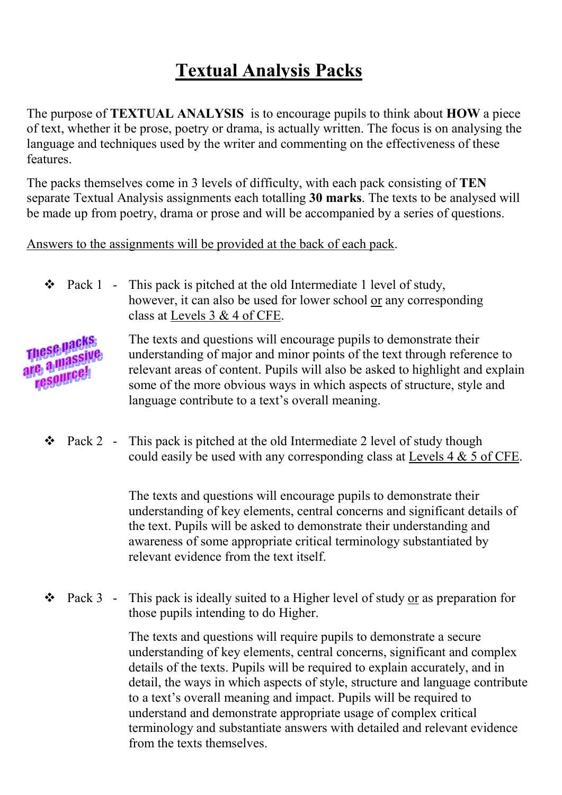### **Textual Analysis Packs**

The purpose of **TEXTUAL ANALYSIS** is to encourage pupils to think about **HOW** a piece of text, whether it be prose, poetry or drama, is actually written. The focus is on analysing the language and techniques used by the writer and commenting on the effectiveness of these features.

The packs themselves come in 3 levels of difficulty, with each pack consisting of **TE6** separate Textual Analysis assignments each totalling **30 marks**. The texts to be analysed will be made up from poetry, drama or prose and will be accompanied by a series of questions.

Answers to the assignments will be provided at the back of each pack.

 $\bullet$  Pack 1 - This pack is pitched at the old Intermediate 1 level of study, however, it can also be used for lower school or any corresponding class at Levels 3 & 4 of CFE.

These Hacks The texts and questions will encourage pupils to demonstrate their **These Bayine**<br>are a massive understanding of major and minor points of the text through reference to relevant areas of content. Pupils will also be asked to highlight and explain le d'uneel.<br>resourcel some of the more obvious ways in which aspects of structure, style and language contribute to a text's overall meaning.

 $\bullet$  Pack 2 - This pack is pitched at the old Intermediate 2 level of study though could easily be used with any corresponding class at Levels 4 & 5 of CFE.

> The texts and questions will encourage pupils to demonstrate their understanding of key elements, central concerns and significant details of the text. Pupils will be asked to demonstrate their understanding and awareness of some appropriate critical terminology substantiated by relevant evidence from the text itself.

 $\bullet$  Pack 3 - This pack is ideally suited to a Higher level of study or as preparation for those pupils intending to do Higher.

> The texts and questions will require pupils to demonstrate a secure understanding of key elements, central concerns, significant and complex details of the texts. Pupils will be required to explain accurately, and in detail, the ways in which aspects of style, structure and language contribute to a text's overall meaning and impact. Pupils will be required to understand and demonstrate appropriate usage of complex critical terminology and substantiate answers with detailed and relevant evidence from the texts themselves.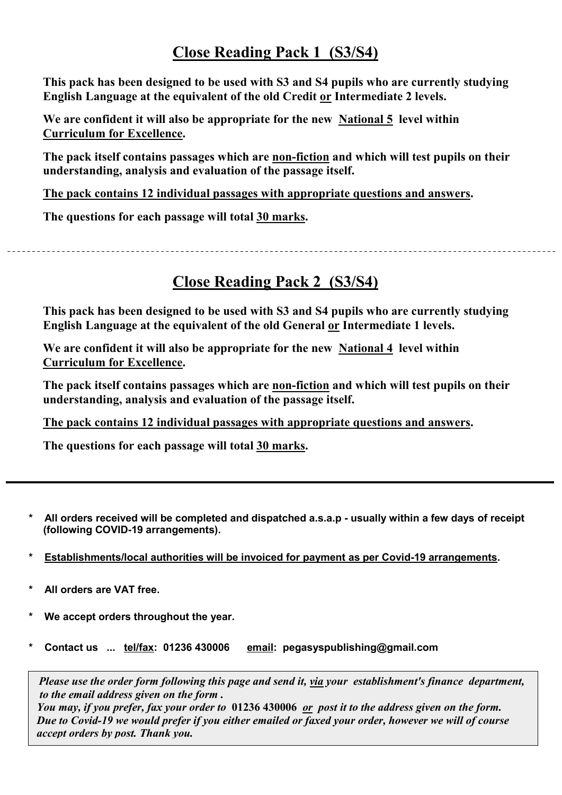#### **Close Reading Pack 1 (S3/S4)**

**This pack has been designed to be used with S3 and S4 pupils who are currently studying English Language at the equivalent of the old Credit or Intermediate 2 levels.** 

We are confident it will also be appropriate for the new National 5 level within **Curriculum for Excellence.**

**The pack itself contains passages which are non-fiction and which will test pupils on their understanding, analysis and evaluation of the passage itself.** 

**The pack contains 12 individual passages with appropriate questions and answers.** 

**The questions for each passage will total 30 marks.**

#### **Close Reading Pack 2 (S3/S4)**

**This pack has been designed to be used with S3 and S4 pupils who are currently studying English Language at the equivalent of the old General or Intermediate 1 levels.** 

We are confident it will also be appropriate for the new National 4 level within **Curriculum for Excellence.**

**The pack itself contains passages which are non-fiction and which will test pupils on their understanding, analysis and evaluation of the passage itself.** 

**The pack contains 12 individual passages with appropriate questions and answers.** 

**The questions for each passage will total 30 marks.**

- **\* All orders received will be completed and dispatched a.s.a.p - usually within a few days of receipt (following COVID-19 arrangements).**
- **\* Establishments/local authorities will be invoiced for payment as per Covid-19 arrangements.**
- All orders are VAT free.
- **\* We accept orders throughout the year.**
- **\* Contact us ... tel/fax: 01236 430006 email: pegasyspublishing@gmail.com**

 *Please use the order form following this page and send it, via your establishment's finance department, to the email address given on the form . You may, if you prefer, fax your order to* **01236 430006** *or post it to the address given on the form.* 

 *Due to Covid-19 we would prefer if you either emailed or faxed your order, however we will of course accept orders by post. Thank you.*